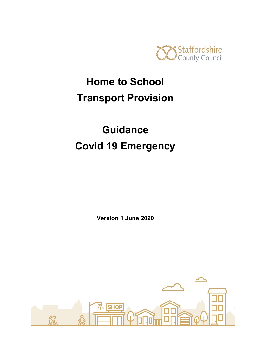

# **Home to School Transport Provision**

# **Guidance Covid 19 Emergency**

**Version 1 June 2020**

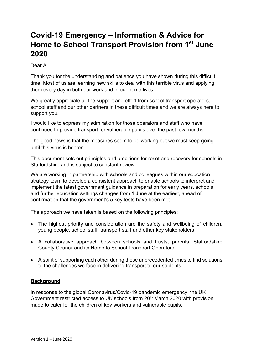## **Covid-19 Emergency – Information & Advice for Home to School Transport Provision from 1st June 2020**

Dear All

Thank you for the understanding and patience you have shown during this difficult time. Most of us are learning new skills to deal with this terrible virus and applying them every day in both our work and in our home lives.

We greatly appreciate all the support and effort from school transport operators, school staff and our other partners in these difficult times and we are always here to support you.

I would like to express my admiration for those operators and staff who have continued to provide transport for vulnerable pupils over the past few months.

The good news is that the measures seem to be working but we must keep going until this virus is beaten.

This document sets out principles and ambitions for reset and recovery for schools in Staffordshire and is subject to constant review.

We are working in partnership with schools and colleagues within our education strategy team to develop a consistent approach to enable schools to interpret and implement the latest government guidance in preparation for early years, schools and further education settings changes from 1 June at the earliest, ahead of confirmation that the government's 5 key tests have been met.

The approach we have taken is based on the following principles:

- The highest priority and consideration are the safety and wellbeing of children, young people, school staff, transport staff and other key stakeholders.
- A collaborative approach between schools and trusts, parents, Staffordshire County Council and its Home to School Transport Operators.
- A spirit of supporting each other during these unprecedented times to find solutions to the challenges we face in delivering transport to our students.

## **Background**

In response to the global Coronavirus/Covid-19 pandemic emergency, the UK Government restricted access to UK schools from 20<sup>th</sup> March 2020 with provision made to cater for the children of key workers and vulnerable pupils.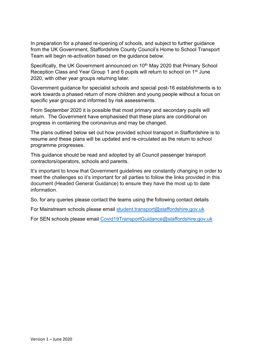In preparation for a phased re-opening of schools, and subject to further guidance from the UK Government, Staffordshire County Council's Home to School Transport Team will begin re-activation based on the guidance below.

Specifically, the UK Government announced on 10<sup>th</sup> May 2020 that Primary School Reception Class and Year Group 1 and 6 pupils will return to school on 1<sup>st</sup> June 2020, with other year groups returning later.

Government guidance for specialist schools and special post-16 establishments is to work towards a phased return of more children and young people without a focus on specific year groups and informed by risk assessments.

From September 2020 it is possible that most primary and secondary pupils will return. The Government have emphasised that these plans are conditional on progress in containing the coronavirus and may be changed.

The plans outlined below set out how provided school transport in Staffordshire is to resume and these plans will be updated and re-circulated as the return to school programme progresses.

This guidance should be read and adopted by all Council passenger transport contractors/operators, schools and parents.

It's important to know that Government guidelines are constantly changing in order to meet the challenges so it's important for all parties to follow the links provided in this document (Headed General Guidance) to ensure they have the most up to date information.

So, for any queries please contact the teams using the following contact details

For Mainstream schools please email [student.transport@staffordshire.gov.uk](mailto:student.transport@staffordshire.gov.uk)

For SEN schools please email [Covid19TransportGuidance@staffordshire.gov.uk](mailto:Covid19TransportGuidance@staffordshire.gov.uk)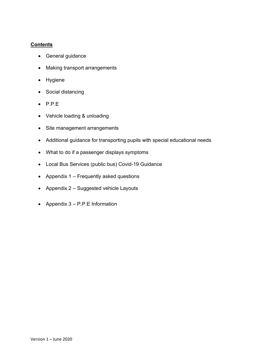## **Contents**

- General guidance
- Making transport arrangements
- Hygiene
- Social distancing
- P.P.E
- Vehicle loading & unloading
- Site management arrangements
- Additional guidance for transporting pupils with special educational needs
- What to do if a passenger displays symptoms
- Local Bus Services (public bus) Covid-19 Guidance
- Appendix 1 Frequently asked questions
- Appendix 2 Suggested vehicle Layouts
- Appendix  $3 P.P.E$  Information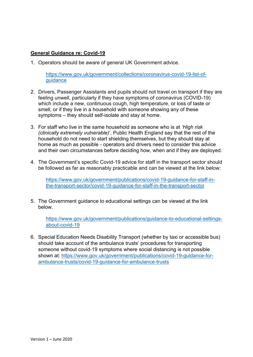### **General Guidance re: Covid-19**

1. Operators should be aware of general UK Government advice.

[https://www.gov.uk/government/collections/coronavirus-covid-19-list-of](https://www.gov.uk/government/collections/coronavirus-covid-19-list-of-guidance)[guidance](https://www.gov.uk/government/collections/coronavirus-covid-19-list-of-guidance)

- 2. Drivers, Passenger Assistants and pupils should not travel on transport if they are feeling unwell, particularly if they have symptoms of coronavirus (COVID-19) which include a new, continuous cough, high temperature, or loss of taste or smell, or if they live in a household with someone showing any of these symptoms – they should self-isolate and stay at home.
- 3. For staff who live in the same household as someone who is at *'High risk (clinically extremely vulnerable)*', Public Health England say that the rest of the household do not need to start shielding themselves, but they should stay at home as much as possible - operators and drivers need to consider this advice and their own circumstances before deciding how, when and if they are deployed.
- 4. The Government's specific Covid-19 advice for staff in the transport sector should be followed as far as reasonably practicable and can be viewed at the link below:

[https://www.gov.uk/government/publications/covid-19-guidance-for-staff-in](https://www.gov.uk/government/publications/covid-19-guidance-for-staff-in-the-transport-sector/covid-19-guidance-for-staff-in-the-transport-sector)[the-transport-sector/covid-19-guidance-for-staff-in-the-transport-sector](https://www.gov.uk/government/publications/covid-19-guidance-for-staff-in-the-transport-sector/covid-19-guidance-for-staff-in-the-transport-sector)

5. The Government guidance to educational settings can be viewed at the link below.

https://www.gov.uk/government/publications/guidance-to-educational-settingsabout-covid-19

6. Special Education Needs Disability Transport (whether by taxi or accessible bus) should take account of the ambulance trusts' procedures for transporting someone without covid-19 symptoms where social distancing is not possible shown at: [https://www.gov.uk/government/publications/covid-19-guidance-for](https://www.gov.uk/government/publications/covid-19-guidance-for-ambulance-trusts/covid-19-guidance-for-ambulance-trusts)[ambulance-trusts/covid-19-guidance-for-ambulance-trusts](https://www.gov.uk/government/publications/covid-19-guidance-for-ambulance-trusts/covid-19-guidance-for-ambulance-trusts)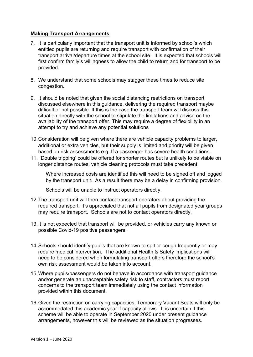### **Making Transport Arrangements**

- 7. It is particularly important that the transport unit is informed by school's which entitled pupils are returning and require transport with confirmation of their transport arrival/departure times at the school site. It is expected that schools will first confirm family's willingness to allow the child to return and for transport to be provided.
- 8. We understand that some schools may stagger these times to reduce site congestion.
- 9. It should be noted that given the social distancing restrictions on transport discussed elsewhere in this guidance, delivering the required transport maybe difficult or not possible. If this is the case the transport team will discuss this situation directly with the school to stipulate the limitations and advise on the availability of the transport offer. This may require a degree of flexibility in an attempt to try and achieve any potential solutions
- 10.Consideration will be given where there are vehicle capacity problems to larger, additional or extra vehicles, but their supply is limited and priority will be given based on risk assessments e.g. If a passenger has severe health conditions.
- 11. 'Double tripping' could be offered for shorter routes but is unlikely to be viable on longer distance routes, vehicle cleaning protocols must take precedent.

Where increased costs are identified this will need to be signed off and logged by the transport unit. As a result there may be a delay in confirming provision.

Schools will be unable to instruct operators directly.

- 12.The transport unit will then contact transport operators about providing the required transport. It's appreciated that not all pupils from designated year groups may require transport. Schools are not to contact operators directly.
- 13.It is not expected that transport will be provided, or vehicles carry any known or possible Covid-19 positive passengers.
- 14.Schools should identify pupils that are known to spit or cough frequently or may require medical intervention. The additional Health & Safety implications will need to be considered when formulating transport offers therefore the school's own risk assessment would be taken into account.
- 15.Where pupils/passengers do not behave in accordance with transport guidance and/or generate an unacceptable safety risk to staff, contractors must report concerns to the transport team immediately using the contact information provided within this document.
- 16.Given the restriction on carrying capacities, Temporary Vacant Seats will only be accommodated this academic year if capacity allows. It is uncertain if this scheme will be able to operate in September 2020 under present guidance arrangements, however this will be reviewed as the situation progresses.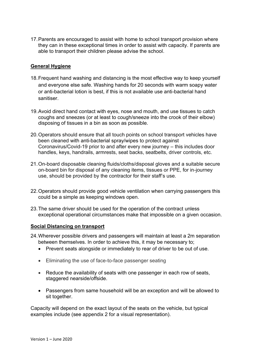17.Parents are encouraged to assist with home to school transport provision where they can in these exceptional times in order to assist with capacity. If parents are able to transport their children please advise the school.

#### **General Hygiene**

- 18.Frequent hand washing and distancing is the most effective way to keep yourself and everyone else safe. Washing hands for 20 seconds with warm soapy water or anti-bacterial lotion is best, if this is not available use anti-bacterial hand sanitiser.
- 19.Avoid direct hand contact with eyes, nose and mouth, and use tissues to catch coughs and sneezes (or at least to cough/sneeze into the crook of their elbow) disposing of tissues in a bin as soon as possible.
- 20.Operators should ensure that all touch points on school transport vehicles have been cleaned with anti-bacterial spray/wipes to protect against Coronavirus/Covid-19 prior to and after every new journey – this includes door handles, keys, handrails, armrests, seat backs, seatbelts, driver controls, etc.
- 21.On-board disposable cleaning fluids/cloths/disposal gloves and a suitable secure on-board bin for disposal of any cleaning items, tissues or PPE, for in-journey use, should be provided by the contractor for their staff's use.
- 22.Operators should provide good vehicle ventilation when carrying passengers this could be a simple as keeping windows open.
- 23.The same driver should be used for the operation of the contract unless exceptional operational circumstances make that impossible on a given occasion.

#### **Social Distancing on transport**

- 24.Wherever possible drivers and passengers will maintain at least a 2m separation between themselves. In order to achieve this, it may be necessary to;
	- Prevent seats alongside or immediately to rear of driver to be out of use.
	- Eliminating the use of face-to-face passenger seating
	- Reduce the availability of seats with one passenger in each row of seats, staggered nearside/offside.
	- Passengers from same household will be an exception and will be allowed to sit together.

Capacity will depend on the exact layout of the seats on the vehicle, but typical examples include (see appendix 2 for a visual representation).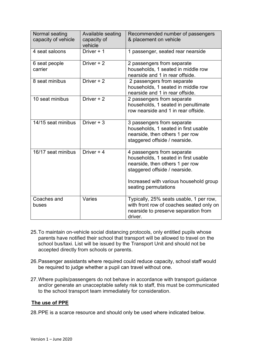| Normal seating<br>capacity of vehicle | Available seating<br>capacity of<br>vehicle | Recommended number of passengers<br>& placement on vehicle                                                                                                                                               |
|---------------------------------------|---------------------------------------------|----------------------------------------------------------------------------------------------------------------------------------------------------------------------------------------------------------|
| 4 seat saloons                        | Driver + 1                                  | 1 passenger, seated rear nearside                                                                                                                                                                        |
| 6 seat people<br>carrier              | Driver + 2                                  | 2 passengers from separate<br>households, 1 seated in middle row<br>nearside and 1 in rear offside.                                                                                                      |
| 8 seat minibus                        | Driver + 2                                  | 2 passengers from separate<br>households, 1 seated in middle row<br>nearside and 1 in rear offside.                                                                                                      |
| 10 seat minibus                       | Driver + 2                                  | 2 passengers from separate<br>households, 1 seated in penultimate<br>row nearside and 1 in rear offside.                                                                                                 |
| 14/15 seat minibus                    | Driver $+3$                                 | 3 passengers from separate<br>households, 1 seated in first usable<br>nearside, then others 1 per row<br>staggered offside / nearside.                                                                   |
| 16/17 seat minibus                    | Driver + 4                                  | 4 passengers from separate<br>households, 1 seated in first usable<br>nearside, then others 1 per row<br>staggered offside / nearside.<br>Increased with various household group<br>seating permutations |
| Coaches and<br>buses                  | Varies                                      | Typically, 25% seats usable, 1 per row,<br>with front row of coaches seated only on<br>nearside to preserve separation from<br>driver.                                                                   |

- 25.To maintain on-vehicle social distancing protocols, only entitled pupils whose parents have notified their school that transport will be allowed to travel on the school bus/taxi. List will be issued by the Transport Unit and should not be accepted directly from schools or parents.
- 26.Passenger assistants where required could reduce capacity, school staff would be required to judge whether a pupil can travel without one.
- 27.Where pupils/passengers do not behave in accordance with transport guidance and/or generate an unacceptable safety risk to staff, this must be communicated to the school transport team immediately for consideration.

## **The use of PPE**

28.PPE is a scarce resource and should only be used where indicated below.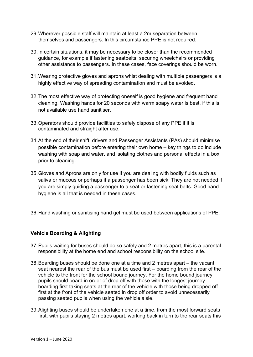- 29.Wherever possible staff will maintain at least a 2m separation between themselves and passengers. In this circumstance PPE is not required.
- 30.In certain situations, it may be necessary to be closer than the recommended guidance, for example if fastening seatbelts, securing wheelchairs or providing other assistance to passengers. In these cases, face coverings should be worn.
- 31.Wearing protective gloves and aprons whist dealing with multiple passengers is a highly effective way of spreading contamination and must be avoided.
- 32.The most effective way of protecting oneself is good hygiene and frequent hand cleaning. Washing hands for 20 seconds with warm soapy water is best, if this is not available use hand sanitiser.
- 33.Operators should provide facilities to safely dispose of any PPE if it is contaminated and straight after use.
- 34.At the end of their shift, drivers and Passenger Assistants (PAs) should minimise possible contamination before entering their own home – key things to do include washing with soap and water, and isolating clothes and personal effects in a box prior to cleaning.
- 35.Gloves and Aprons are only for use if you are dealing with bodily fluids such as saliva or mucous or perhaps if a passenger has been sick. They are not needed if you are simply guiding a passenger to a seat or fastening seat belts. Good hand hygiene is all that is needed in these cases.
- 36.Hand washing or sanitising hand gel must be used between applications of PPE.

## **Vehicle Boarding & Alighting**

- 37.Pupils waiting for buses should do so safely and 2 metres apart, this is a parental responsibility at the home end and school responsibility on the school site.
- 38.Boarding buses should be done one at a time and 2 metres apart the vacant seat nearest the rear of the bus must be used first – boarding from the rear of the vehicle to the front for the school bound journey. For the home bound journey pupils should board in order of drop off with those with the longest journey boarding first taking seats at the rear of the vehicle with those being dropped off first at the front of the vehicle seated in drop off order to avoid unnecessarily passing seated pupils when using the vehicle aisle.
- 39.Alighting buses should be undertaken one at a time, from the most forward seats first, with pupils staying 2 metres apart, working back in turn to the rear seats this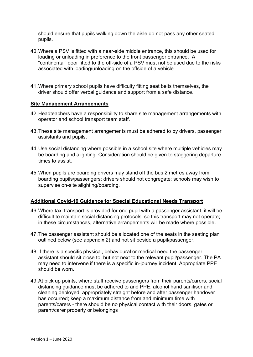should ensure that pupils walking down the aisle do not pass any other seated pupils.

- 40.Where a PSV is fitted with a near-side middle entrance, this should be used for loading or unloading in preference to the front passenger entrance. A "continental" door fitted to the off-side of a PSV must not be used due to the risks associated with loading/unloading on the offside of a vehicle
- 41.Where primary school pupils have difficulty fitting seat belts themselves, the driver should offer verbal guidance and support from a safe distance.

#### **Site Management Arrangements**

- 42.Headteachers have a responsibility to share site management arrangements with operator and school transport team staff.
- 43.These site management arrangements must be adhered to by drivers, passenger assistants and pupils.
- 44.Use social distancing where possible in a school site where multiple vehicles may be boarding and alighting. Consideration should be given to staggering departure times to assist.
- 45.When pupils are boarding drivers may stand off the bus 2 metres away from boarding pupils/passengers; drivers should not congregate; schools may wish to supervise on-site alighting/boarding.

#### **Additional Covid-19 Guidance for Special Educational Needs Transport**

- 46.Where taxi transport is provided for one pupil with a passenger assistant, it will be difficult to maintain social distancing protocols, so this transport may not operate; in these circumstances, alternative arrangements will be made where possible.
- 47.The passenger assistant should be allocated one of the seats in the seating plan outlined below (see appendix 2) and not sit beside a pupil/passenger.
- 48.If there is a specific physical, behavioural or medical need the passenger assistant should sit close to, but not next to the relevant pupil/passenger. The PA may need to intervene if there is a specific in-journey incident. Appropriate PPE should be worn.
- 49.At pick up points, where staff receive passengers from their parents/carers, social distancing guidance must be adhered to and PPE, alcohol hand sanitiser and cleaning deployed appropriately straight before and after passenger handover has occurred; keep a maximum distance from and minimum time with parents/carers - there should be no physical contact with their doors, gates or parent/carer property or belongings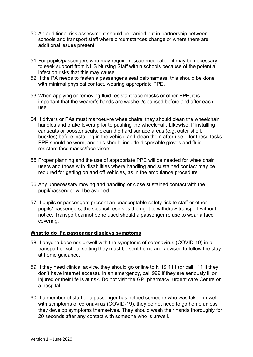- 50.An additional risk assessment should be carried out in partnership between schools and transport staff where circumstances change or where there are additional issues present.
- 51.For pupils/passengers who may require rescue medication it may be necessary to seek support from NHS Nursing Staff within schools because of the potential infection risks that this may cause.
- 52.If the PA needs to fasten a passenger's seat belt/harness, this should be done with minimal physical contact, wearing appropriate PPE.
- 53.When applying or removing fluid resistant face masks or other PPE, it is important that the wearer's hands are washed/cleansed before and after each use
- 54.If drivers or PAs must manoeuvre wheelchairs, they should clean the wheelchair handles and brake levers prior to pushing the wheelchair. Likewise, if installing car seats or booster seats, clean the hard surface areas (e.g. outer shell, buckles) before installing in the vehicle and clean them after use – for these tasks PPE should be worn, and this should include disposable gloves and fluid resistant face masks/face visors
- 55.Proper planning and the use of appropriate PPE will be needed for wheelchair users and those with disabilities where handling and sustained contact may be required for getting on and off vehicles, as in the ambulance procedure
- 56.Any unnecessary moving and handling or close sustained contact with the pupil/passenger will be avoided
- 57.If pupils or passengers present an unacceptable safety risk to staff or other pupils/ passengers, the Council reserves the right to withdraw transport without notice. Transport cannot be refused should a passenger refuse to wear a face covering.

#### **What to do if a passenger displays symptoms**

- 58.If anyone becomes unwell with the symptoms of coronavirus (COVID-19) in a transport or school setting they must be sent home and advised to follow the stay at home guidance.
- 59.If they need clinical advice, they should go online to NHS 111 (or call 111 if they don't have internet access). In an emergency, call 999 if they are seriously ill or injured or their life is at risk. Do not visit the GP, pharmacy, urgent care Centre or a hospital.
- 60.If a member of staff or a passenger has helped someone who was taken unwell with symptoms of coronavirus (COVID-19), they do not need to go home unless they develop symptoms themselves. They should wash their hands thoroughly for 20 seconds after any contact with someone who is unwell.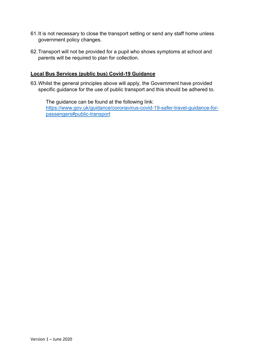- 61.It is not necessary to close the transport setting or send any staff home unless government policy changes.
- 62.Transport will not be provided for a pupil who shows symptoms at school and parents will be required to plan for collection.

#### **Local Bus Services (public bus) Covid-19 Guidance**

63.Whilst the general principles above will apply, the Government have provided specific guidance for the use of public transport and this should be adhered to.

The guidance can be found at the following link: [https://www.gov.uk/guidance/coronavirus-covid-19-safer-travel-guidance-for](https://www.gov.uk/guidance/coronavirus-covid-19-safer-travel-guidance-for-passengers#public-transport)[passengers#public-transport](https://www.gov.uk/guidance/coronavirus-covid-19-safer-travel-guidance-for-passengers#public-transport)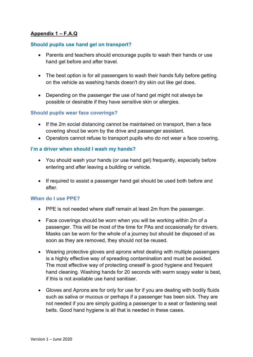## **Appendix 1 – F.A.Q**

#### **Should pupils use hand gel on transport?**

- Parents and teachers should encourage pupils to wash their hands or use hand gel before and after travel.
- The best option is for all passengers to wash their hands fully before getting on the vehicle as washing hands doesn't dry skin out like gel does.
- Depending on the passenger the use of hand gel might not always be possible or desirable if they have sensitive skin or allergies.

#### **Should pupils wear face coverings?**

- If the 2m social distancing cannot be maintained on transport, then a face covering shout be worn by the drive and passenger assistant.
- Operators cannot refuse to transport pupils who do not wear a face covering.

#### **I'm a driver when should I wash my hands?**

- You should wash your hands (or use hand gel) frequently, especially before entering and after leaving a building or vehicle.
- If required to assist a passenger hand gel should be used both before and after.

#### **When do I use PPE?**

- PPE is not needed where staff remain at least 2m from the passenger.
- Face coverings should be worn when you will be working within 2m of a passenger. This will be most of the time for PAs and occasionally for drivers. Masks can be worn for the whole of a journey but should be disposed of as soon as they are removed, they should not be reused.
- Wearing protective gloves and aprons whist dealing with multiple passengers is a highly effective way of spreading contamination and must be avoided. The most effective way of protecting oneself is good hygiene and frequent hand cleaning. Washing hands for 20 seconds with warm soapy water is best, if this is not available use hand sanitiser.
- Gloves and Aprons are for only for use for if you are dealing with bodily fluids such as saliva or mucous or perhaps if a passenger has been sick. They are not needed if you are simply guiding a passenger to a seat or fastening seat belts. Good hand hygiene is all that is needed in these cases.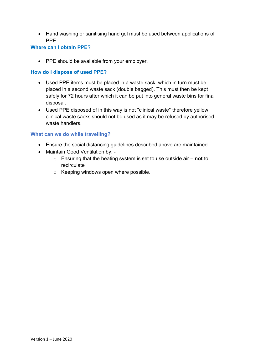• Hand washing or sanitising hand gel must be used between applications of PPE.

#### **Where can I obtain PPE?**

• PPE should be available from your employer.

### **How do I dispose of used PPE?**

- Used PPE items must be placed in a waste sack, which in turn must be placed in a second waste sack (double bagged). This must then be kept safely for 72 hours after which it can be put into general waste bins for final disposal.
- Used PPE disposed of in this way is not "clinical waste" therefore yellow clinical waste sacks should not be used as it may be refused by authorised waste handlers.

#### **What can we do while travelling?**

- Ensure the social distancing guidelines described above are maintained.
- Maintain Good Ventilation by:
	- o Ensuring that the heating system is set to use outside air **not** to recirculate
	- o Keeping windows open where possible.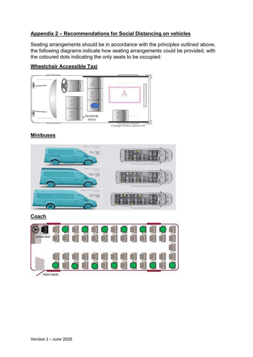## **Appendix 2 – Recommendations for Social Distancing on vehicles**

Seating arrangements should be in accordance with the principles outlined above, the following diagrams indicate how seating arrangements could be provided, with the coloured dots indicating the only seats to be occupied:

## **Wheelchair Accessible Taxi**



Copyight Minibus Options Ltd.

## **Minibuses**



## **Coach**

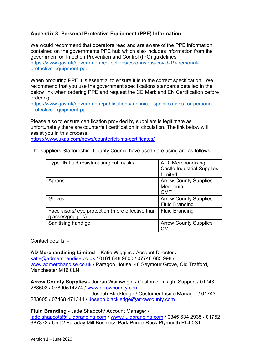## **Appendix 3: Personal Protective Equipment (PPE) Information**

We would recommend that operators read and are aware of the PPE information contained on the governments PPE hub which also includes information from the government on Infection Prevention and Control (IPC) guidelines. [https://www.gov.uk/government/collections/coronavirus-covid-19-personal](https://www.gov.uk/government/collections/coronavirus-covid-19-personal-protective-equipment-ppe)[protective-equipment-ppe](https://www.gov.uk/government/collections/coronavirus-covid-19-personal-protective-equipment-ppe)

When procuring PPE it is essential to ensure it is to the correct specification. We recommend that you use the government specifications standards detailed in the below link when ordering PPE and request the CE Mark and EN Certification before ordering.

[https://www.gov.uk/government/publications/technical-specifications-for-personal](https://www.gov.uk/government/publications/technical-specifications-for-personal-protective-equipment-ppe)[protective-equipment-ppe](https://www.gov.uk/government/publications/technical-specifications-for-personal-protective-equipment-ppe)

Please also to ensure certification provided by suppliers is legitimate as unfortunately there are counterfeit certification in circulation. The link below will assist you in this process.

<https://www.ukas.com/news/counterfeit-ms-certificates/>

The suppliers Staffordshire County Council have used / are using are as follows:

| Type IIR fluid resistant surgical masks                              | A.D. Merchandising<br><b>Castle Industrial Supplies</b><br>Limited |
|----------------------------------------------------------------------|--------------------------------------------------------------------|
| Aprons                                                               | <b>Arrow County Supplies</b><br>Medequip<br><b>CMT</b>             |
| Gloves                                                               | <b>Arrow County Supplies</b><br><b>Fluid Branding</b>              |
| Face visors/ eye protection (more effective than<br>glasses/goggles) | <b>Fluid Branding</b>                                              |
| Sanitising hand gel                                                  | <b>Arrow County Supplies</b><br>CMT                                |

Contact details: -

**AD Merchandising Limited** – Katie Wiggins / Account Director / [katie@admerchandise.co.uk](mailto:katie@admerchandise.co.uk) / 0161 848 9800 / 07748 685 998 / [www.admerchandise.co.uk](http://www.admerchandise.co.uk/) / Paragon House, 48 Seymour Grove, Old Trafford, Manchester M16 0LN

**Arrow County Supplies** - Jordan Wainwright / Customer Insight Support / 01743 283603 / 07890514274 / [www.arrowcounty.com](http://www.arrowcounty.com/)

 Joseph Blackledge / Customer Inside Manager / 01743 283605 / 07468 471344 / [Joseph.blackledge@arrowcounty.com](mailto:Joseph.blackledge@arrowcounty.com)

**Fluid Branding** - Jade Shapcott/ Account Manager /

[jade.shapcott@fluidbranding.com](mailto:jade.shapcott@fluidbranding.com) / [www.fluidbranding.com](http://www.fluidbranding.com/) / 0345 634 2935 / 01752 987372 / Unit 2 Faraday Mill Business Park Prince Rock Plymouth PL4 0ST